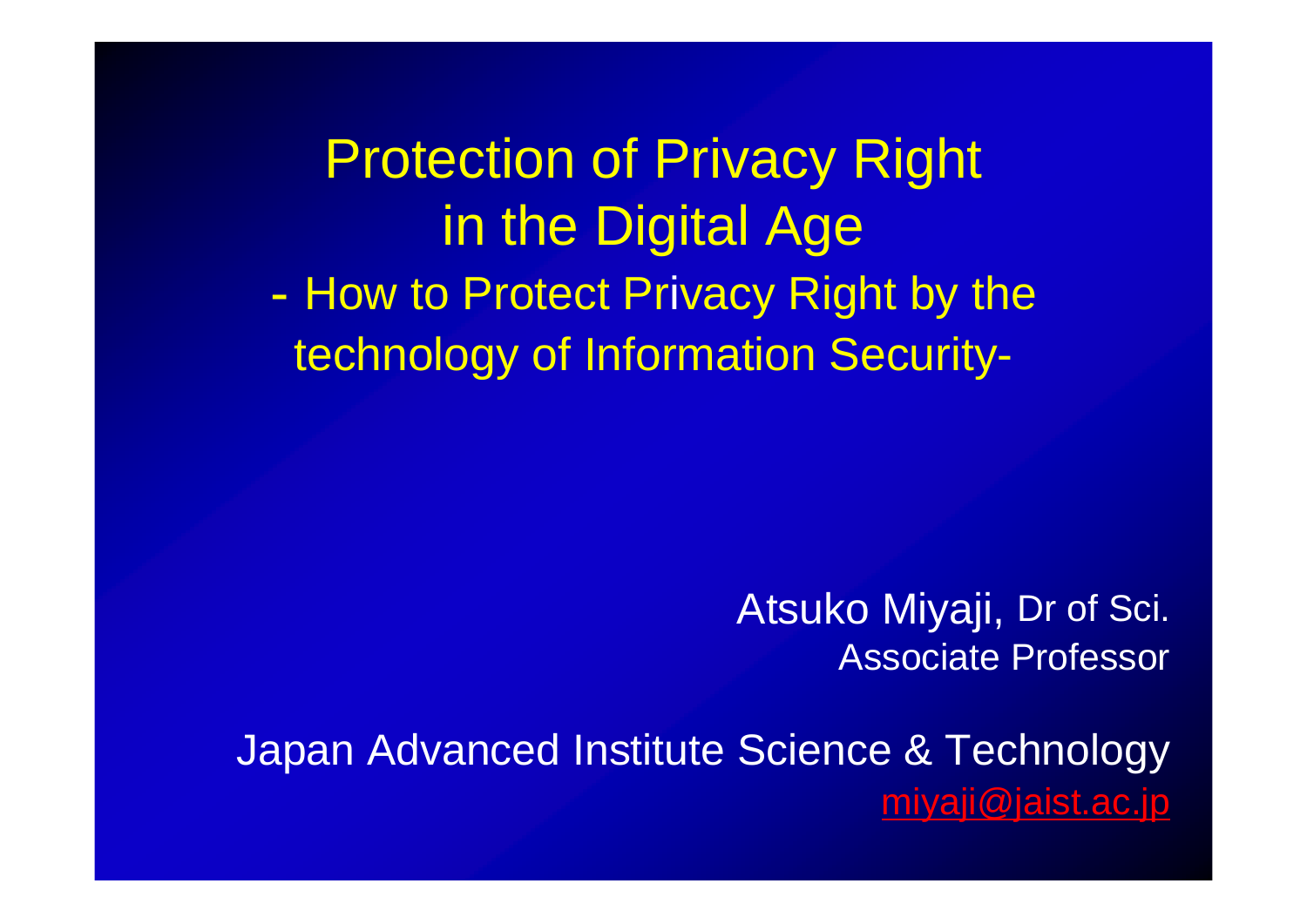Protection of Privacy Right in the Digital Age -- How to Protect Privacy Right by the technology of Information Security-

> Atsuko Miyaji, Dr of Sci. Associate Professor

Japan Advanced Institute Science & Technology [miyaji@jaist.ac.jp](mailto:miyaji@jaist.ac.jp)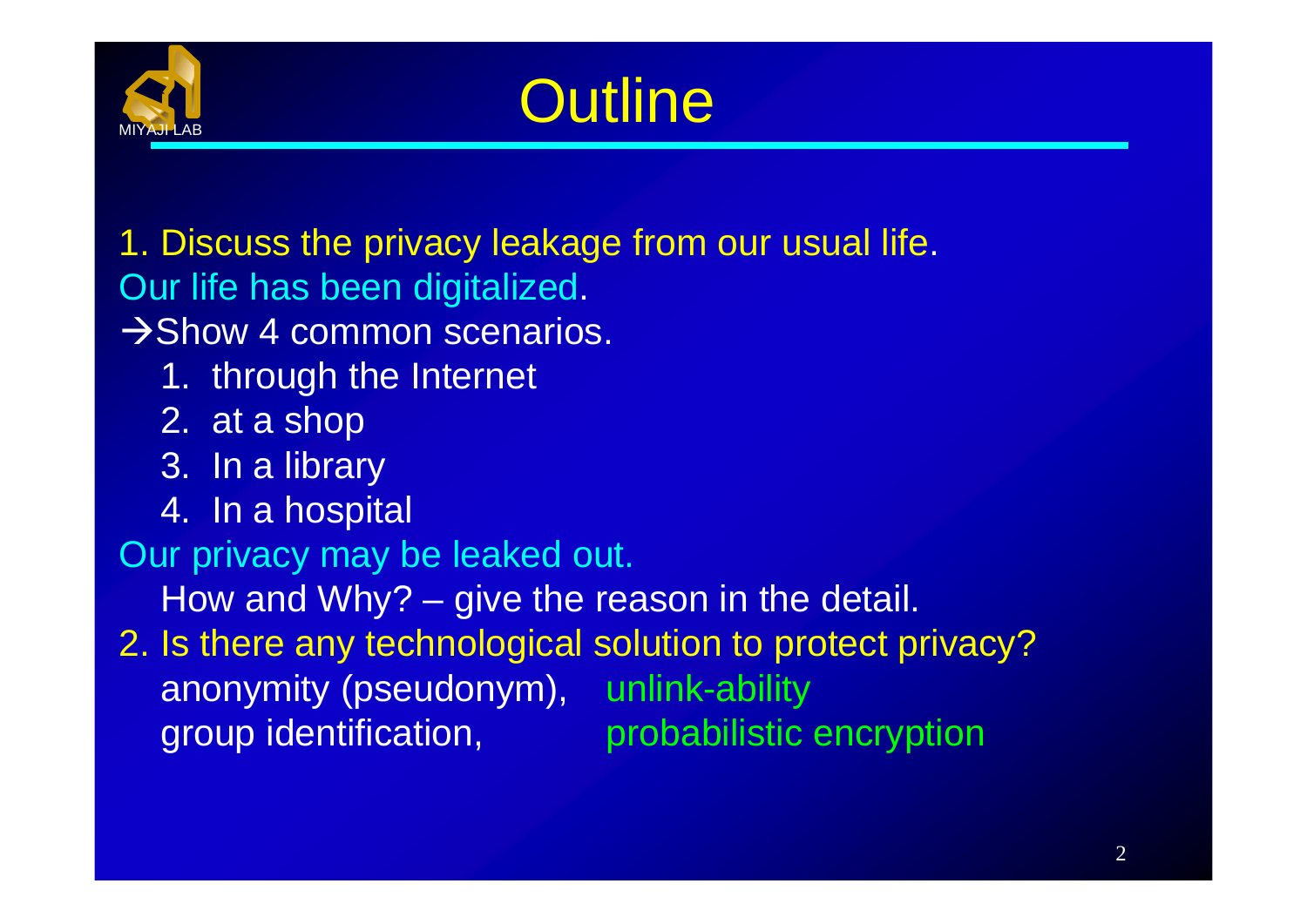

# **Outline**

1. Discuss the privacy leakage from our usual life. Our life has been digitalized.

 $\rightarrow$  Show 4 common scenarios.

- 1. through the Internet
- 2. at a shop
- 3. In a library
- 4. In a hospital

Our privacy may be leaked out.

How and Why? – give the reason in the detail.

2. Is there any technological solution to protect privacy? anonymity (pseudonym), unlink-ability group identification, probabilistic encryption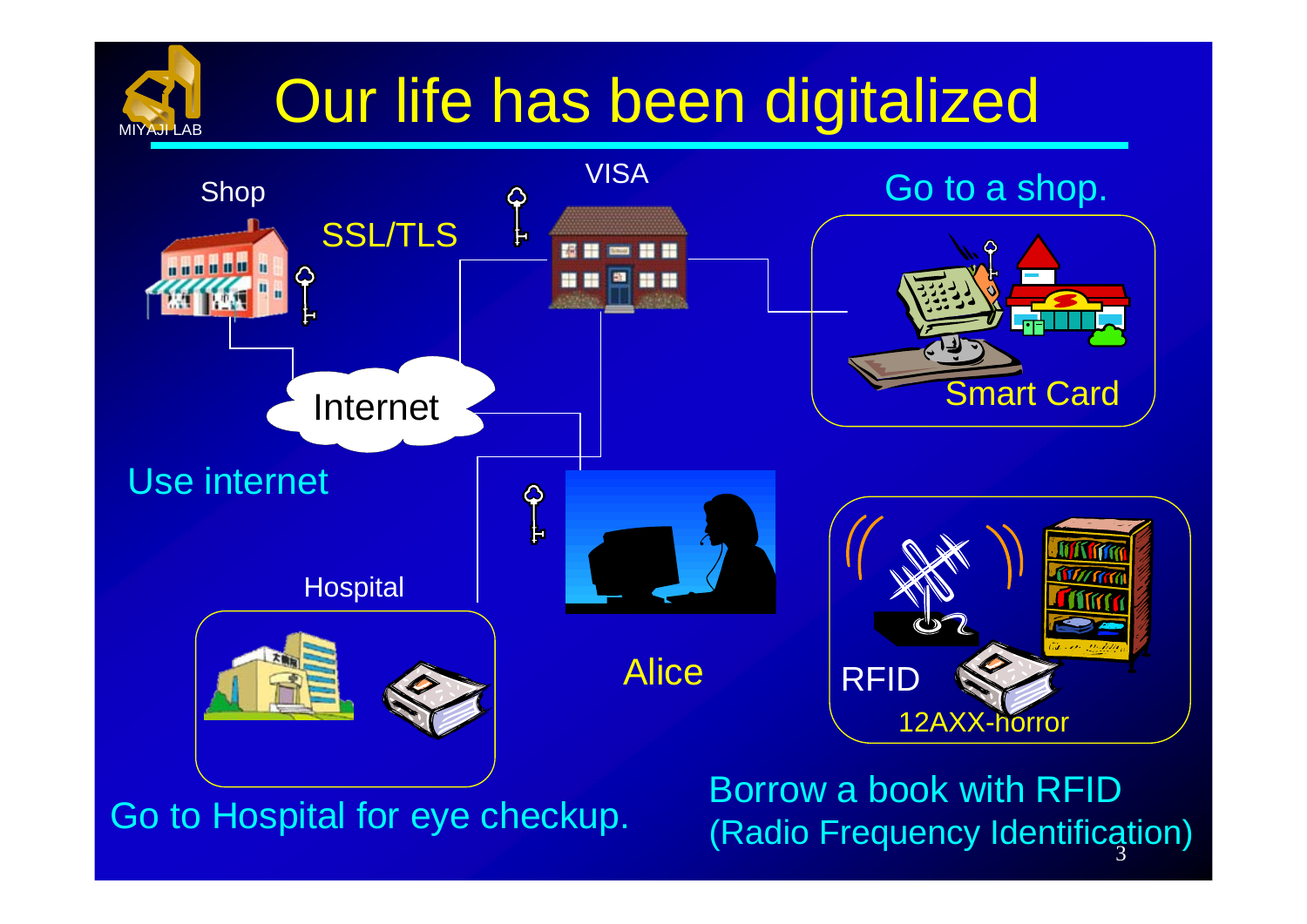# Our life has been digitalized



MIYAJI LAB

Go to Hospital for eye checkup. (Radio Frequency Identification) Borrow a book with RFID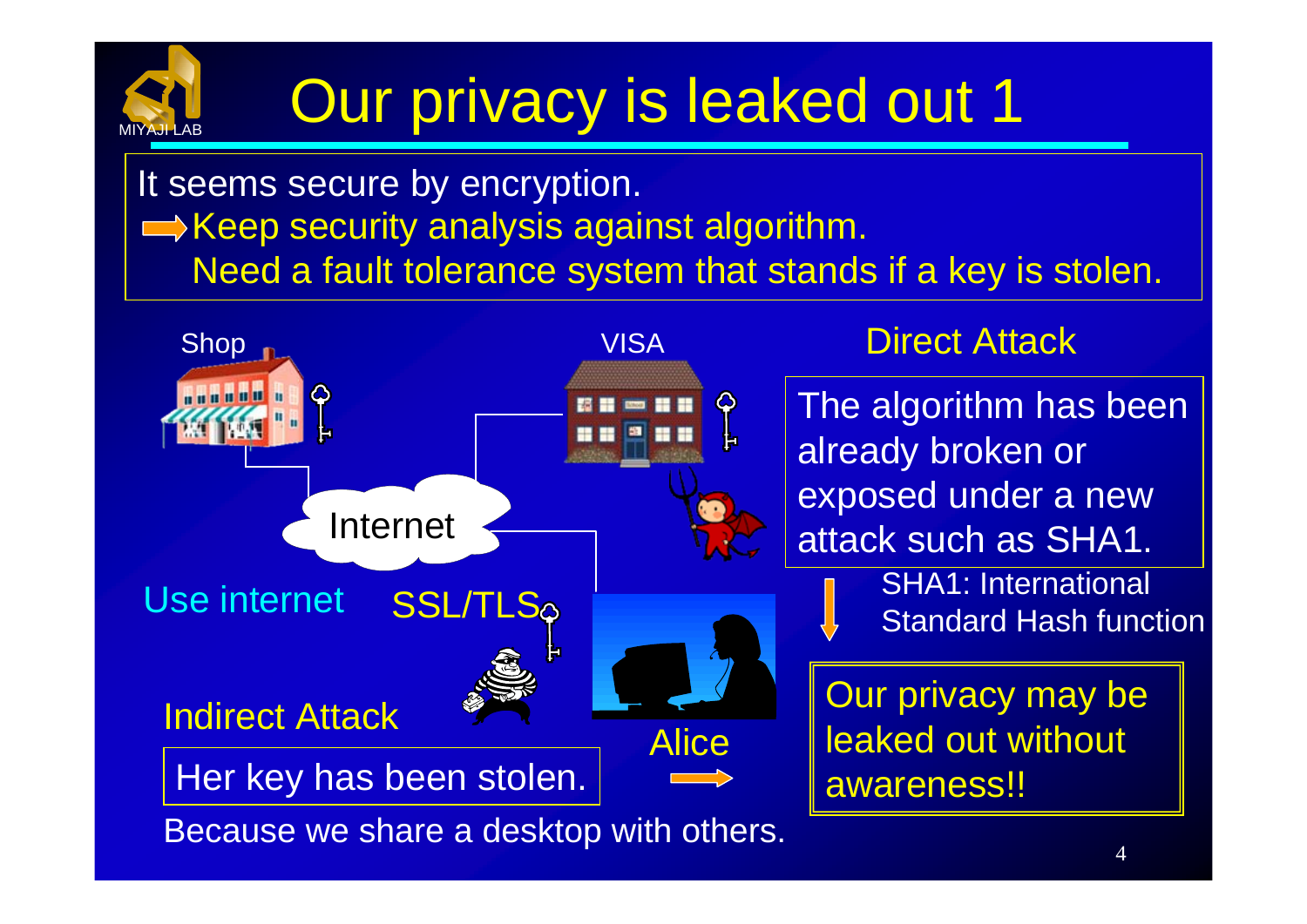

# Our privacy is leaked out 1

It seems secure by encryption.  $\Rightarrow$  Keep security analysis against algorithm. Need a fault tolerance system that stands if a key is stolen.

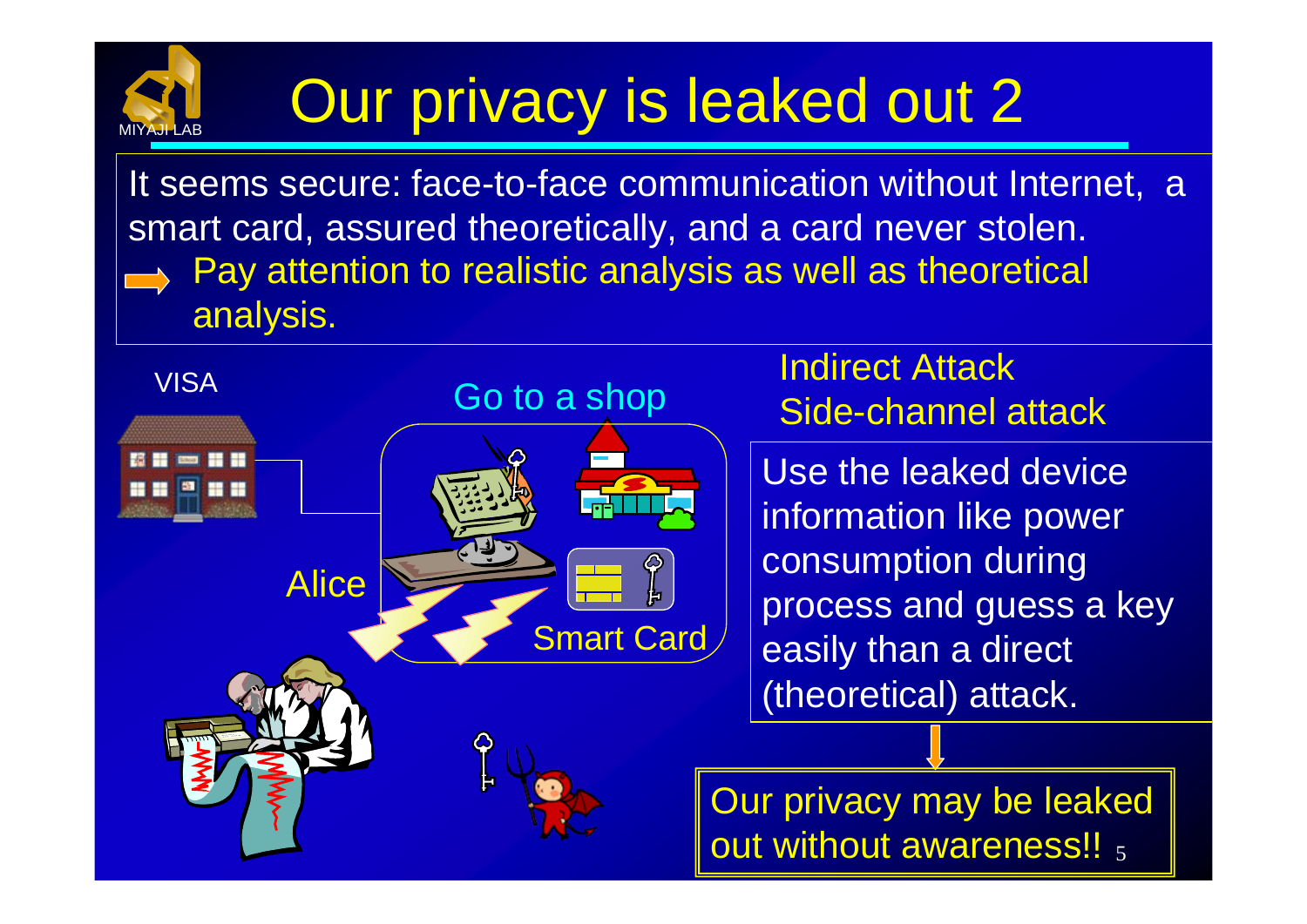# Our privacy is leaked out 2

MIYAJI LAB

It seems secure: face-to-face communication without Internet, a smart card, assured theoretically, and a card never stolen. Pay attention to realistic analysis as well as theoretical analysis.

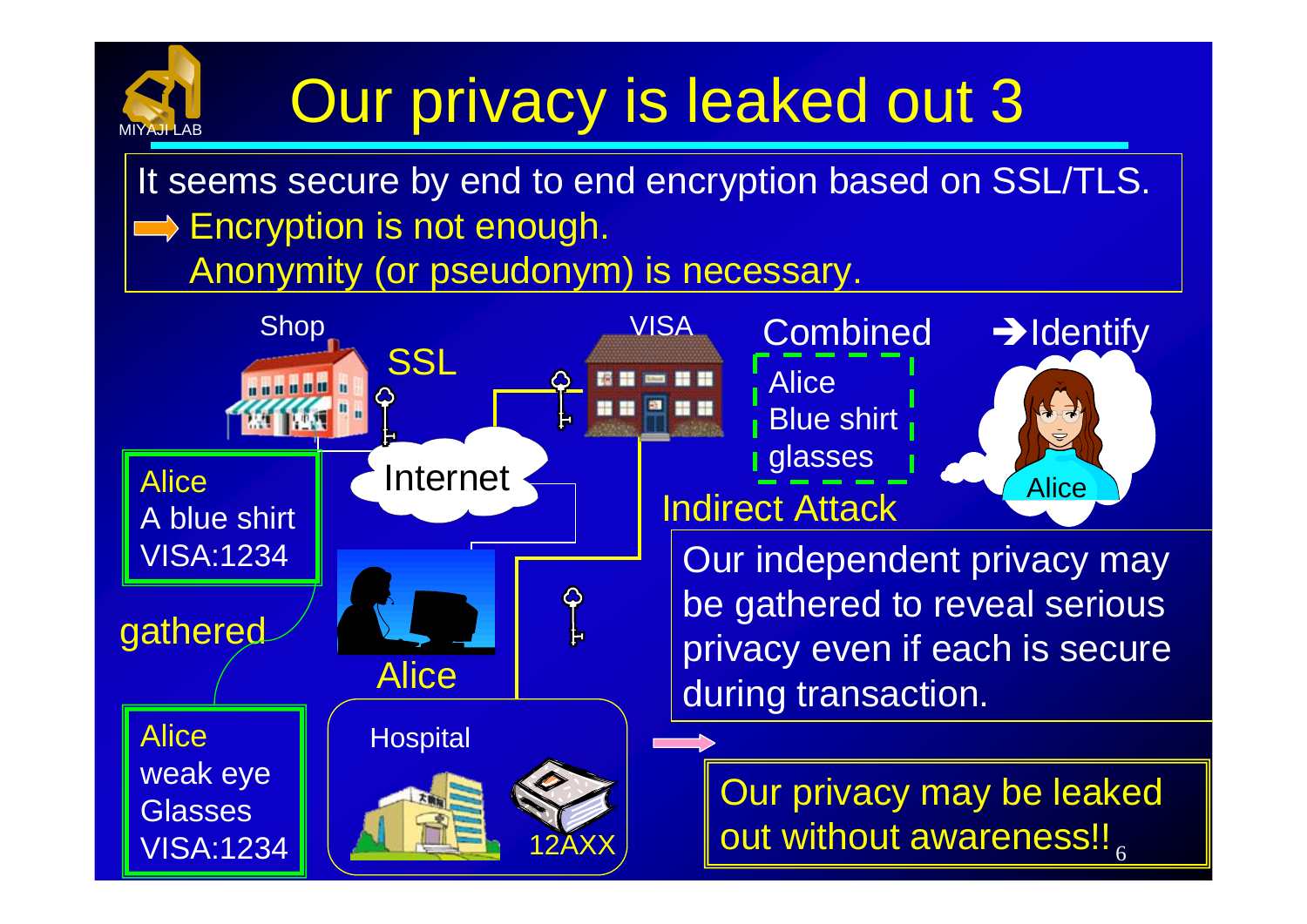# MIYAJI LAB

# Our privacy is leaked out 3

It seems secure by end to end encryption based on SSL/TLS.  $\implies$  Encryption is not enough. Anonymity (or pseudonym) is necessary.

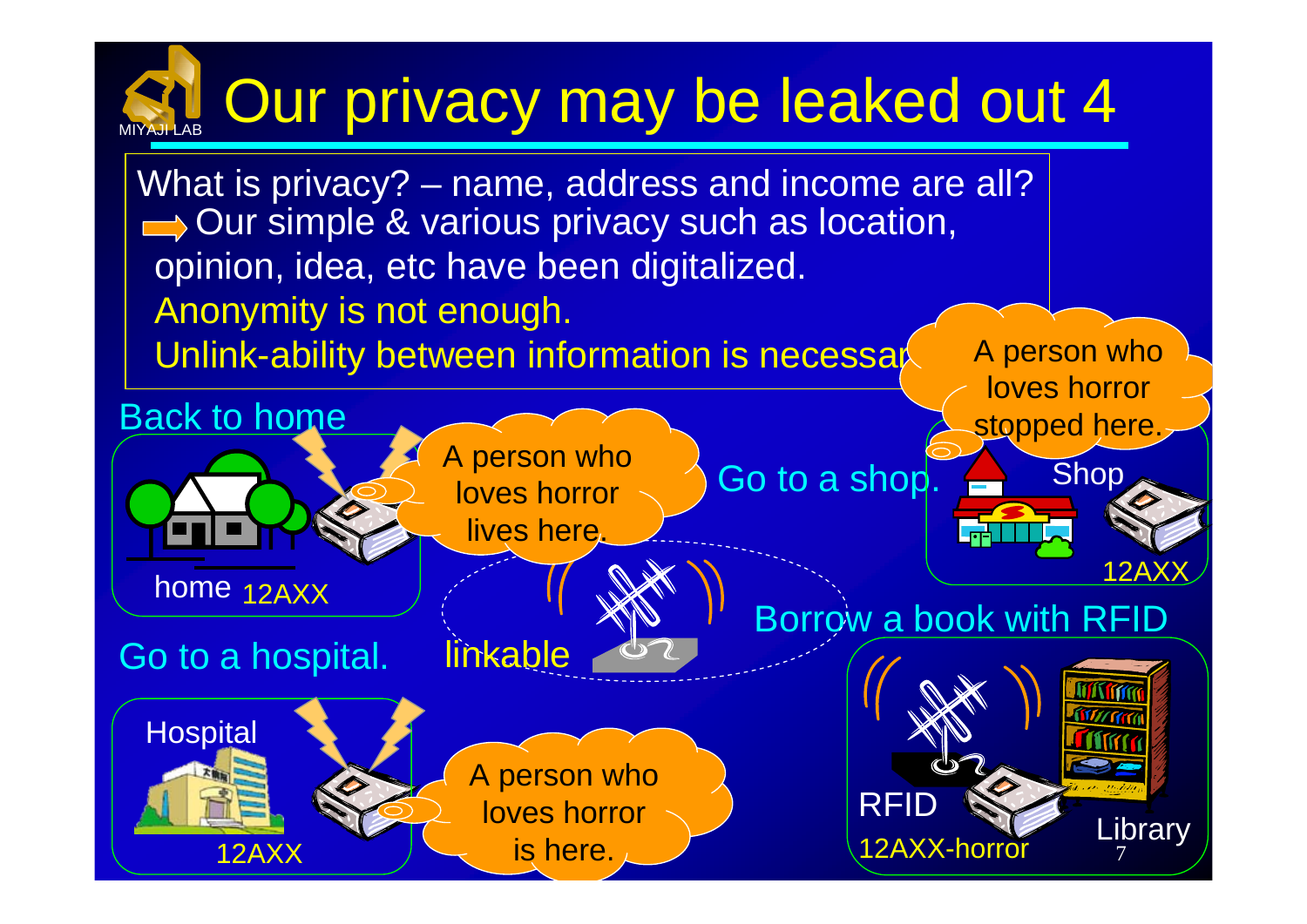### MIYAJI LABOur privacy may be leaked out 4

**Hospital** Go to a shop.  $\leftarrow$  Shop Borrow a book with RFID Go to a hospital. RFI home 12AXX linkable **12AX** Back to home **Library** What is privacy? – name, address and income are all? Our simple & various privacy such as location, opinion, idea, etc have been digitalized. Anonymity is not enough. Unlink-ability between information is necessay A person who loves horror A person who loves horror lives here. A person who loves horror stopped here.

is here.

12AXX

7

12AXX-horro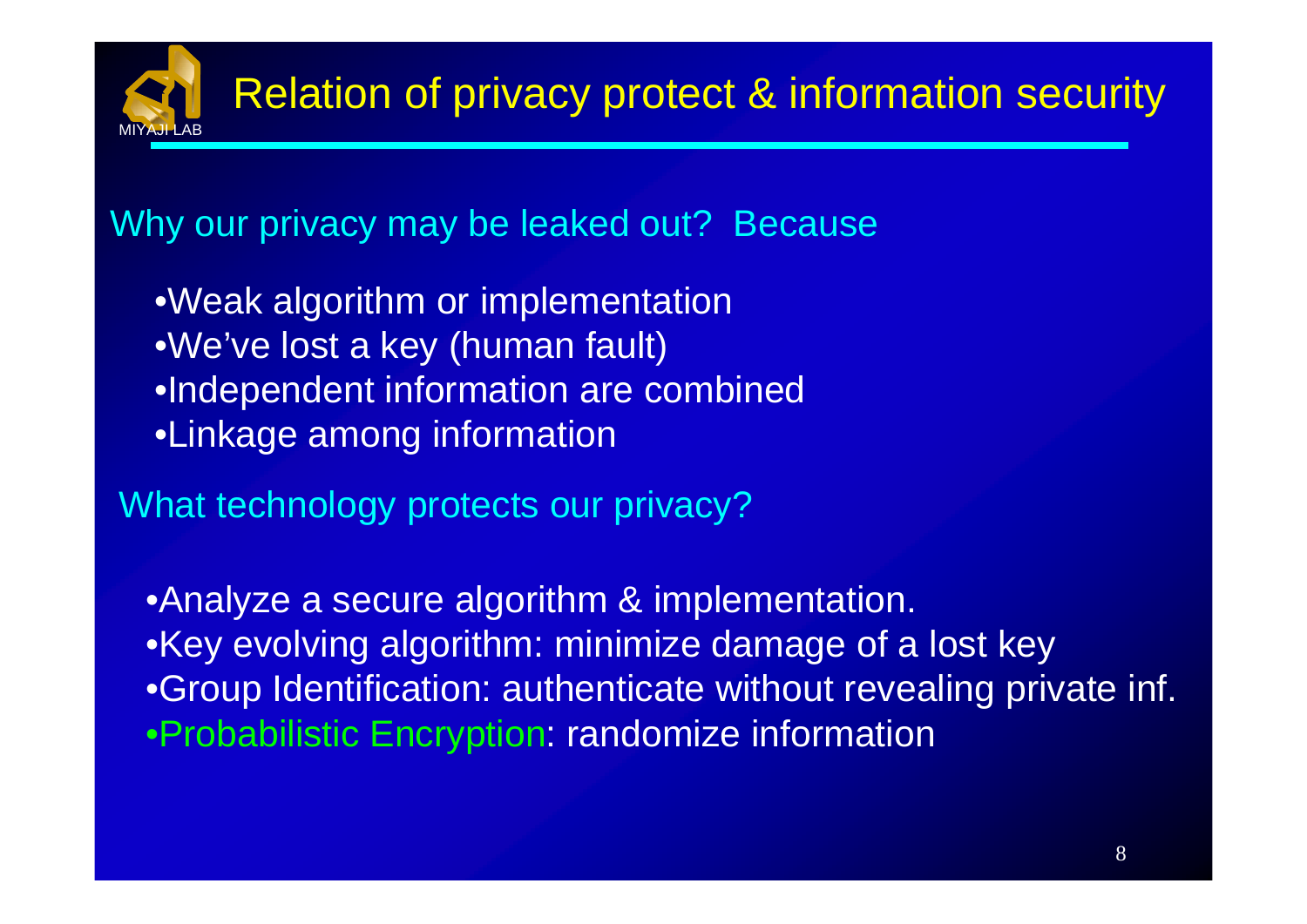#### Why our privacy may be leaked out? Because

- •Weak algorithm or implementation •We've lost a key (human fault) •Independent information are combined •Linkage among information
- What technology protects our privacy?

•Analyze a secure algorithm & implementation. •Key evolving algorithm: minimize damage of a lost key •Group Identification: authenticate without revealing private inf. •Probabilistic Encryption: randomize information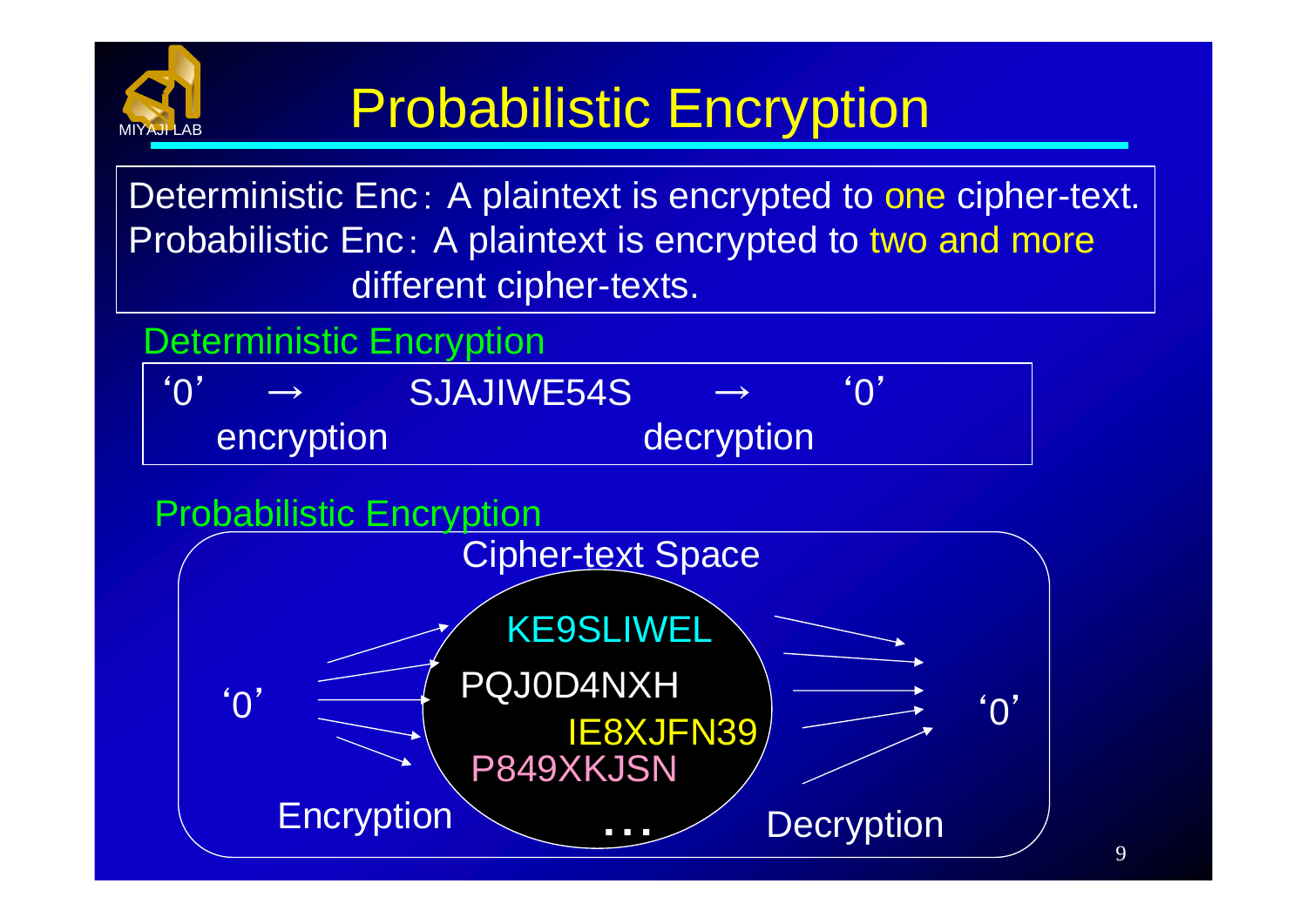

### Probabilistic Encryption

Deterministic Enc: A plaintext is encrypted to one cipher-text. Probabilistic Enc: A plaintext is encrypted to two and more different cipher-texts.

### Deterministic Encryption

| <b>AO</b><br>$\longrightarrow$ | SJAJIWE54S | $\longrightarrow$ | <b>"O</b> |
|--------------------------------|------------|-------------------|-----------|
| encryption                     |            | decryption        |           |

#### $^{\prime}$   $\Omega$ ' Cipher-text Space Probabilistic Encryption Encryption **Decryption** KE9SLIWEL IE8XJFN39 PQJ0D4NXH P849XKJSN ・・・ $^{\prime}$  ()<sup> $^{\prime}$ </sup>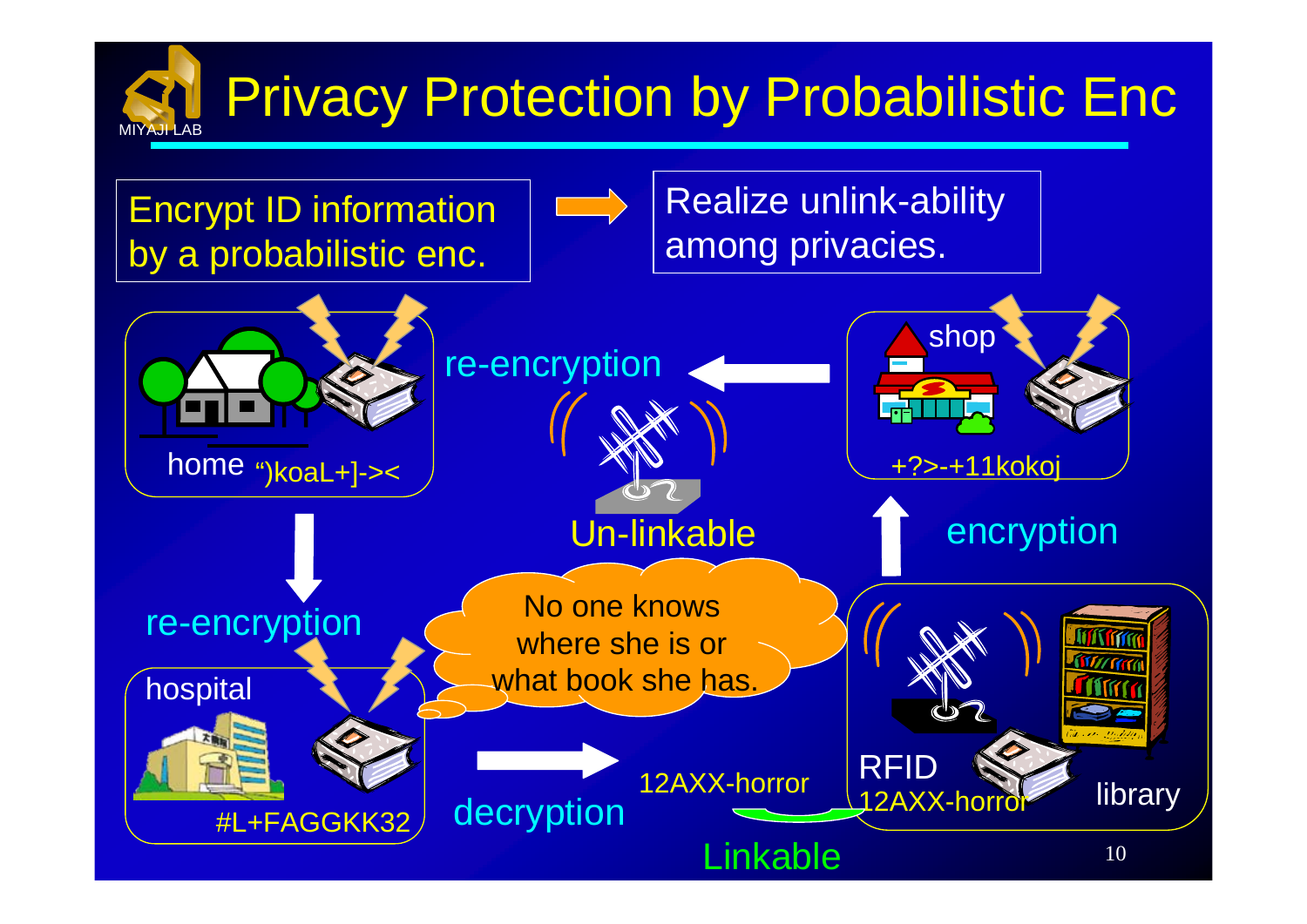#### MIYAJI LAB**Privacy Protection by Probabilistic Enc**

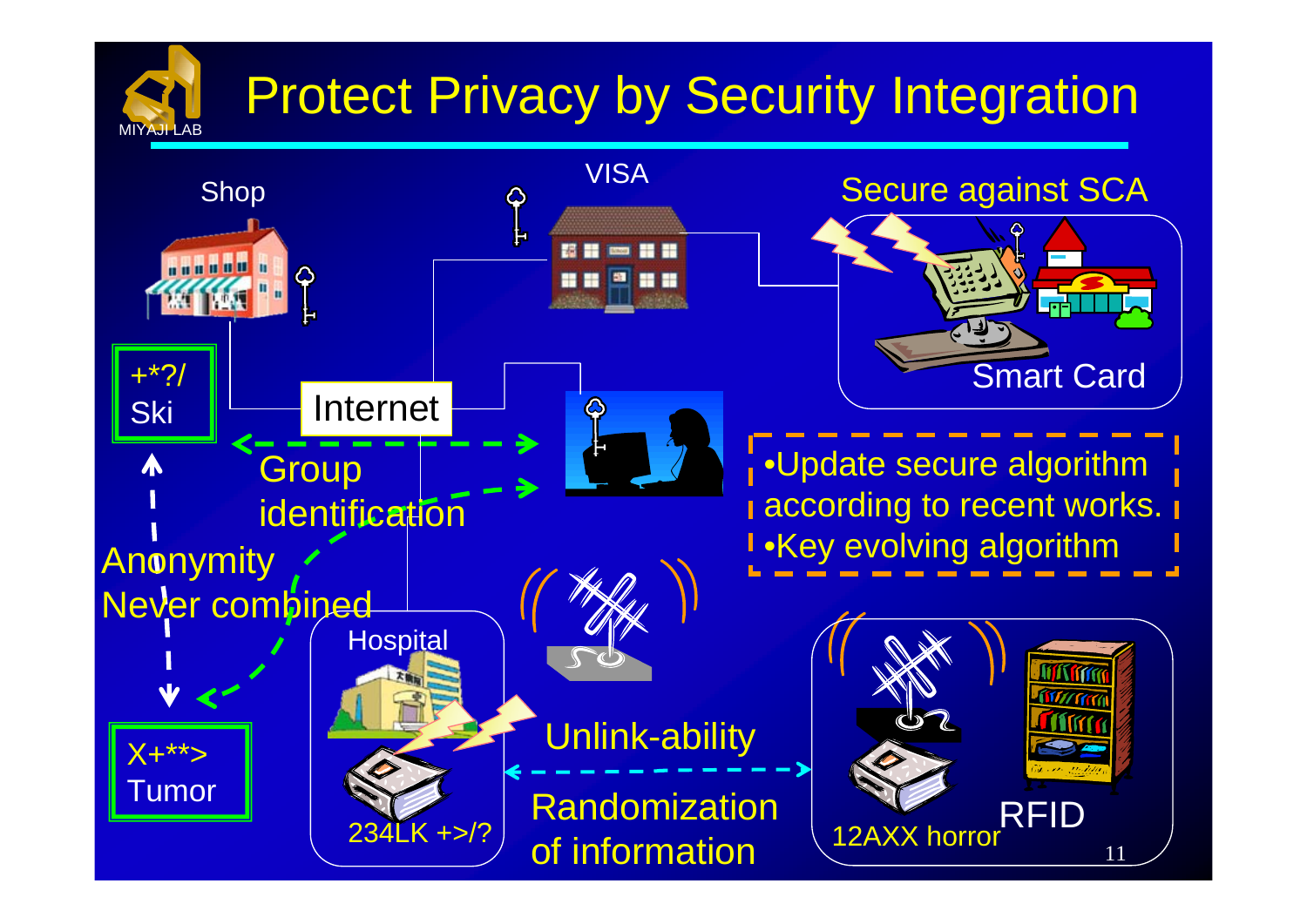# Protect Privacy by Security Integration

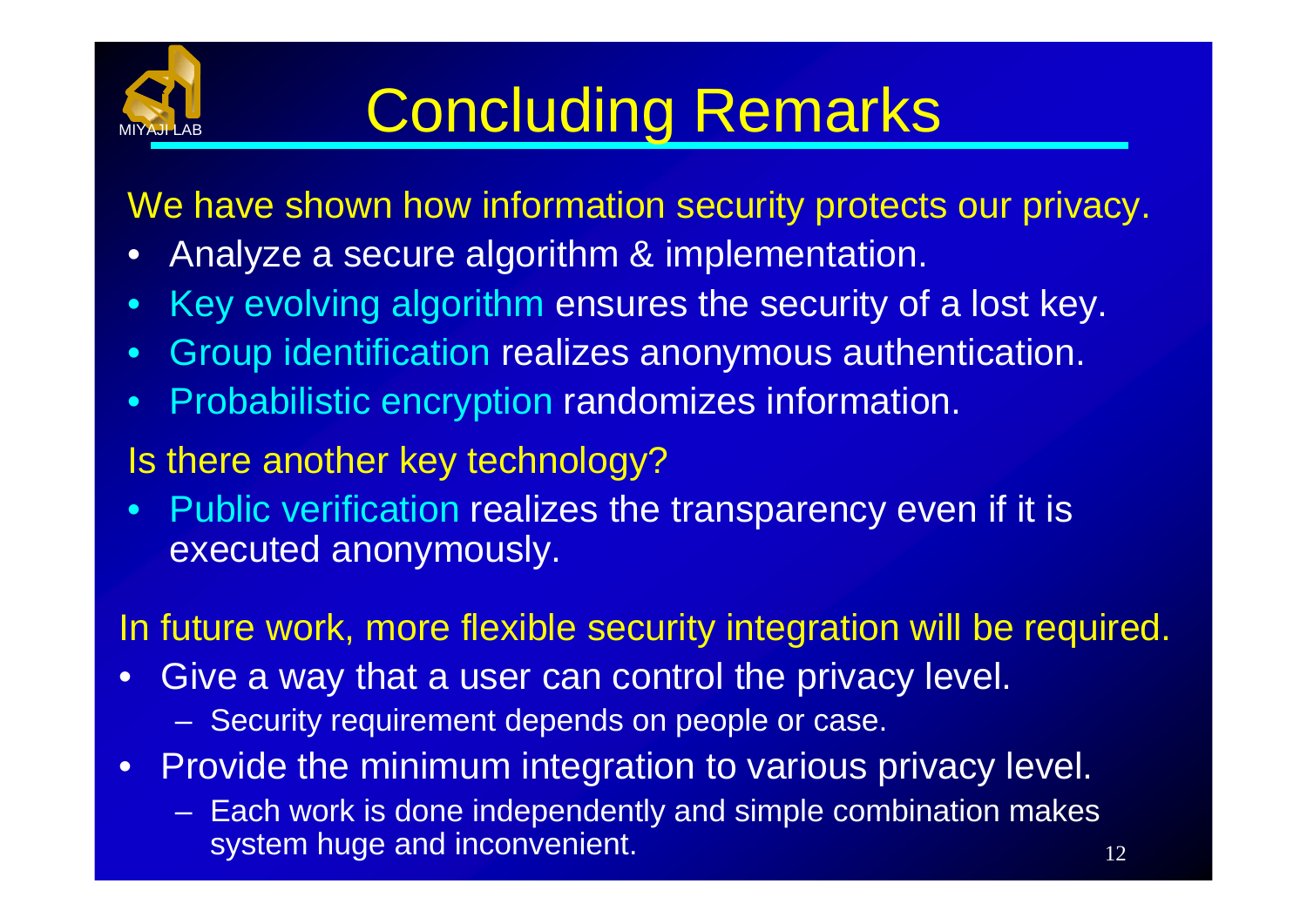

## Concluding Remarks

We have shown how information security protects our privacy.

- •Analyze a secure algorithm & implementation.
- •Key evolving algorithm ensures the security of a lost key.
- •Group identification realizes anonymous authentication.
- •Probabilistic encryption randomizes information.
- Is there another key technology?
- $\bullet$  Public verification realizes the transparency even if it is executed anonymously.

In future work, more flexible security integration will be required.

- • Give a way that a user can control the privacy level.
	- $\mathcal{L}_{\mathcal{A}}$ Security requirement depends on people or case.
- $\bullet$  Provide the minimum integration to various privacy level.
	- $\mathcal{L}_{\mathcal{A}}$  Each work is done independently and simple combination makes system huge and inconvenient.